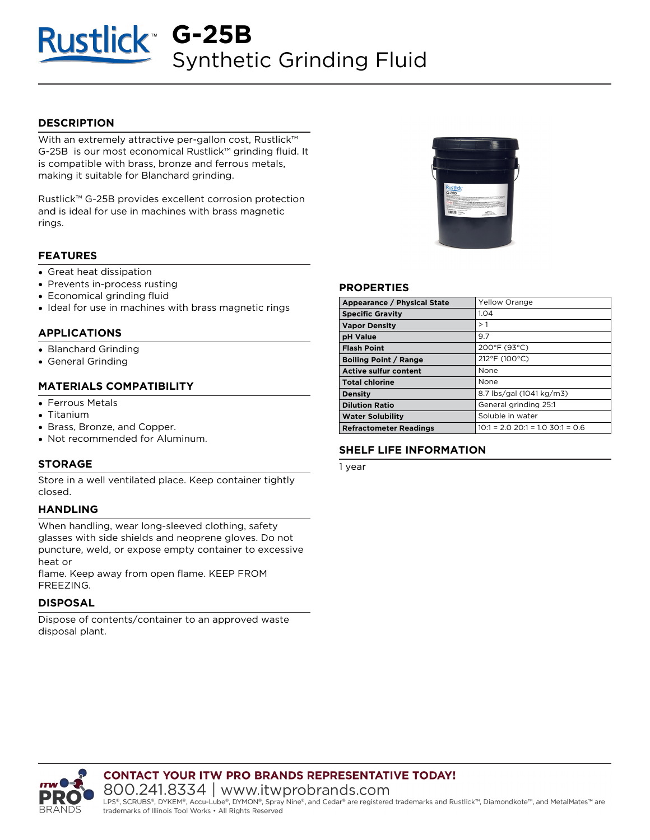# **G-25B Synthetic Grinding Fluid**

## **DESCRIPTION**

With an extremely attractive per-gallon cost, **Rustlick™ G-25B** is our most economical **Rustlick™** grinding fluid. It is compatible with brass, bronze and ferrous metals, making it suitable for Blanchard grinding.

**Rustlick™ G-25B** provides excellent corrosion protection and is ideal for use in machines with brass magnetic rings.

#### **FEATURES**

- Great heat dissipation
- Prevents in-process rusting
- Economical grinding fluid
- Ideal for use in machines with brass magnetic rings

## **APPLICATIONS**

- Blanchard Grinding
- General Grinding

## **MATERIALS COMPATIBILITY**

- Ferrous Metals
- Titanium
- Brass, Bronze, and Copper.
- Not recommended for Aluminum.

#### **STORAGE**

Store in a well ventilated place. Keep container tightly closed.

#### **HANDLING**

When handling, wear long-sleeved clothing, safety glasses with side shields and neoprene gloves. Do not puncture, weld, or expose empty container to excessive heat or

flame. Keep away from open flame. KEEP FROM FREEZING.

#### **DISPOSAL**

Dispose of contents/container to an approved waste disposal plant.

trademarks of Illinois Tool Works • All Rights Reserved



#### **PROPERTIES**

| Appearance / Physical State   | <b>Yellow Orange</b>                   |  |
|-------------------------------|----------------------------------------|--|
| <b>Specific Gravity</b>       | 1.04                                   |  |
| <b>Vapor Density</b>          | >1                                     |  |
| <b>pH Value</b>               | 9.7                                    |  |
| <b>Flash Point</b>            | 200°F (93°C)                           |  |
| <b>Boiling Point / Range</b>  | 212°F (100°C)                          |  |
| <b>Active sulfur content</b>  | None                                   |  |
| <b>Total chlorine</b>         | None                                   |  |
| <b>Density</b>                | 8.7 lbs/gal (1041 kg/m3)               |  |
| <b>Dilution Ratio</b>         | General grinding 25:1                  |  |
| <b>Water Solubility</b>       | Soluble in water                       |  |
| <b>Refractometer Readings</b> | $10:1 = 2.0$ $20:1 = 1.0$ $30:1 = 0.6$ |  |

# **SHELF LIFE INFORMATION**

1 year



**CONTACT YOUR ITW PRO BRANDS REPRESENTATIVE TODAY!** 800.241.8334 | www.itwprobrands.com LPS®, SCRUBS®, DYKEM®, Accu-Lube®, DYMON®, Spray Nine®, and Cedar® are registered trademarks and Rustlick™, Diamondkote™, and MetalMates™ are